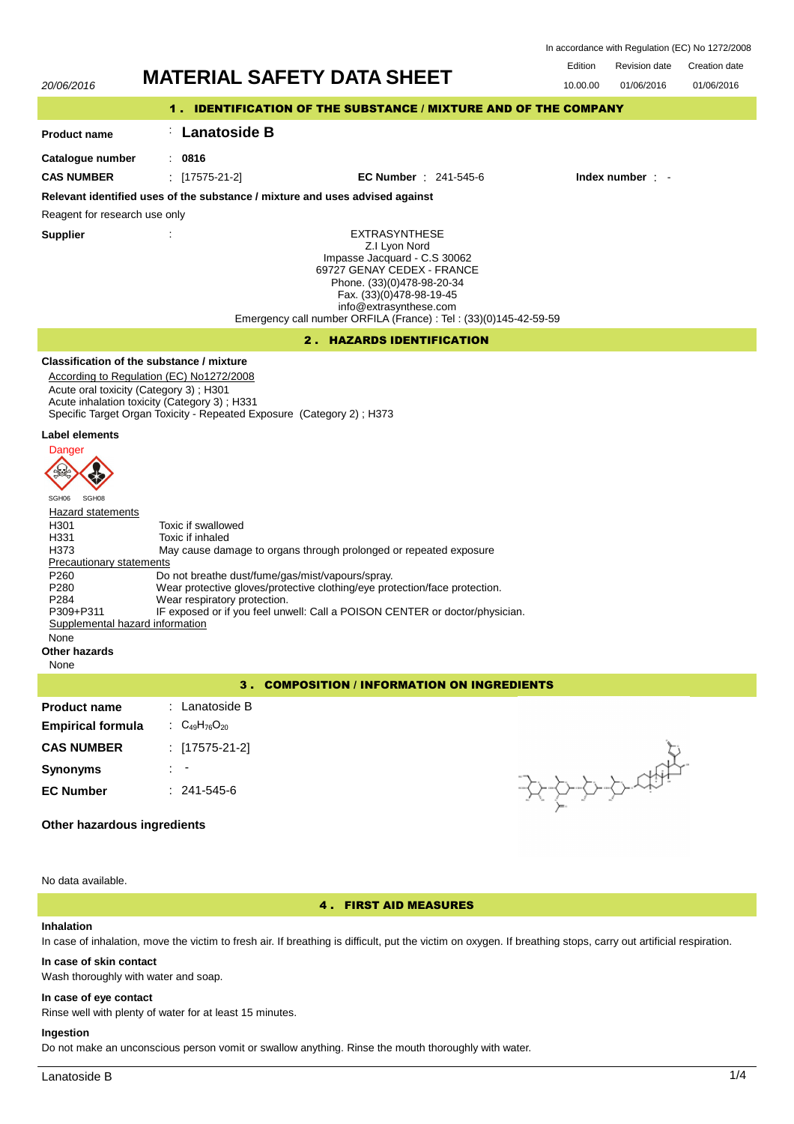In accordance with Regulation (EC) No 1272/2008

# Edition Revision date Creation date 20/06/2016 **MATERIAL SAFETY DATA SHEET** 10.00.00 01/06/2016 01/06/2016 1 . IDENTIFICATION OF THE SUBSTANCE / MIXTURE AND OF THE COMPANY : **Lanatoside B Product name Catalogue number** : **0816 CAS NUMBER** : [17575-21-2] **EC Number** : 241-545-6 **Index number** : - **Relevant identified uses of the substance / mixture and uses advised against** Reagent for research use only **Supplier** : EXTRASYNTHESE Z.I Lyon Nord Impasse Jacquard - C.S 30062 69727 GENAY CEDEX - FRANCE Phone. (33)(0)478-98-20-34 Fax. (33)(0)478-98-19-45 info@extrasynthese.com Emergency call number ORFILA (France) : Tel : (33)(0)145-42-59-59 2 . HAZARDS IDENTIFICATION **Classification of the substance / mixture** According to Regulation (EC) No1272/2008 Acute oral toxicity (Category 3) ; H301 Acute inhalation toxicity (Category 3) ; H331 Specific Target Organ Toxicity - Repeated Exposure (Category 2) ; H373 **Label elements Danger**  $\sqrt{2}$ 35 SGH06 SGH08 **Hazard statements** H301 Toxic if swallowed<br>H331 Toxic if inhaled H331 Toxic if inhaled<br>H373 May cause dan May cause damage to organs through prolonged or repeated exposure Precautionary statements P260 Do not breathe dust/fume/gas/mist/vapours/spray.<br>P280 Wear protective gloves/protective clothing/eye pro P280 Wear protective gloves/protective clothing/eye protection/face protection.<br>P284 Wear respiratory protection. P284 Wear respiratory protection.<br>P309+P311 IF exposed or if you feel uny IF exposed or if you feel unwell: Call a POISON CENTER or doctor/physician. Supplemental hazard information None **Other hazards** None 3 . COMPOSITION / INFORMATION ON INGREDIENTS **Product name** : Lanatoside B **Empirical formula** : C<sub>49</sub>H<sub>76</sub>O<sub>20</sub> **CAS NUMBER** : [17575-21-2] **Synonyms** : - **EC Number** : 241-545-6

# **Other hazardous ingredients**

No data available.

# 4 . FIRST AID MEASURES

## **Inhalation**

In case of inhalation, move the victim to fresh air. If breathing is difficult, put the victim on oxygen. If breathing stops, carry out artificial respiration.

## **In case of skin contact**

Wash thoroughly with water and soap.

## **In case of eye contact**

Rinse well with plenty of water for at least 15 minutes.

## **Ingestion**

Do not make an unconscious person vomit or swallow anything. Rinse the mouth thoroughly with water.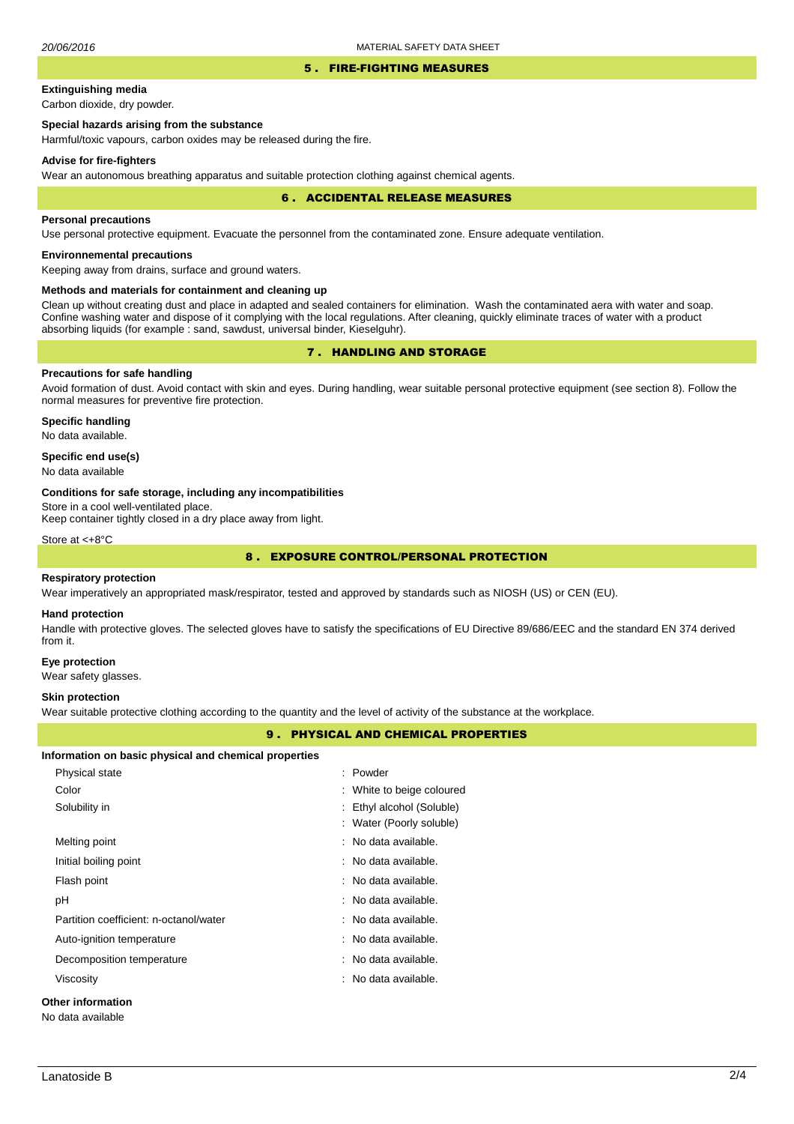#### 5 . FIRE-FIGHTING MEASURES

# **Extinguishing media**

Carbon dioxide, dry powder.

# **Special hazards arising from the substance**

Harmful/toxic vapours, carbon oxides may be released during the fire.

#### **Advise for fire-fighters**

Wear an autonomous breathing apparatus and suitable protection clothing against chemical agents.

#### 6 . ACCIDENTAL RELEASE MEASURES

#### **Personal precautions**

Use personal protective equipment. Evacuate the personnel from the contaminated zone. Ensure adequate ventilation.

# **Environnemental precautions**

Keeping away from drains, surface and ground waters.

#### **Methods and materials for containment and cleaning up**

Clean up without creating dust and place in adapted and sealed containers for elimination. Wash the contaminated aera with water and soap. Confine washing water and dispose of it complying with the local regulations. After cleaning, quickly eliminate traces of water with a product absorbing liquids (for example : sand, sawdust, universal binder, Kieselguhr).

# 7 . HANDLING AND STORAGE

# **Precautions for safe handling**

Avoid formation of dust. Avoid contact with skin and eyes. During handling, wear suitable personal protective equipment (see section 8). Follow the normal measures for preventive fire protection.

**Specific handling** No data available.

### **Specific end use(s)**

No data available

#### **Conditions for safe storage, including any incompatibilities**

Store in a cool well-ventilated place.

Keep container tightly closed in a dry place away from light.

Store at <+8°C

# 8 . EXPOSURE CONTROL/PERSONAL PROTECTION

#### **Respiratory protection**

Wear imperatively an appropriated mask/respirator, tested and approved by standards such as NIOSH (US) or CEN (EU).

#### **Hand protection**

Handle with protective gloves. The selected gloves have to satisfy the specifications of EU Directive 89/686/EEC and the standard EN 374 derived from it.

#### **Eye protection**

Wear safety glasses.

## **Skin protection**

Wear suitable protective clothing according to the quantity and the level of activity of the substance at the workplace.

## 9 . PHYSICAL AND CHEMICAL PROPERTIES

| Physical state                         | : Powder                  |  |
|----------------------------------------|---------------------------|--|
| Color                                  | : White to beige coloured |  |
| Solubility in                          | : Ethyl alcohol (Soluble) |  |
|                                        | : Water (Poorly soluble)  |  |
| Melting point                          | : No data available.      |  |
| Initial boiling point                  | : No data available.      |  |
| Flash point                            | : No data available.      |  |
| рH                                     | : No data available.      |  |
| Partition coefficient: n-octanol/water | : No data available.      |  |
| Auto-ignition temperature              | : No data available.      |  |
| Decomposition temperature              | : No data available.      |  |
| Viscosity                              | : No data available.      |  |
| <b>Other information</b>               |                           |  |
| No data available                      |                           |  |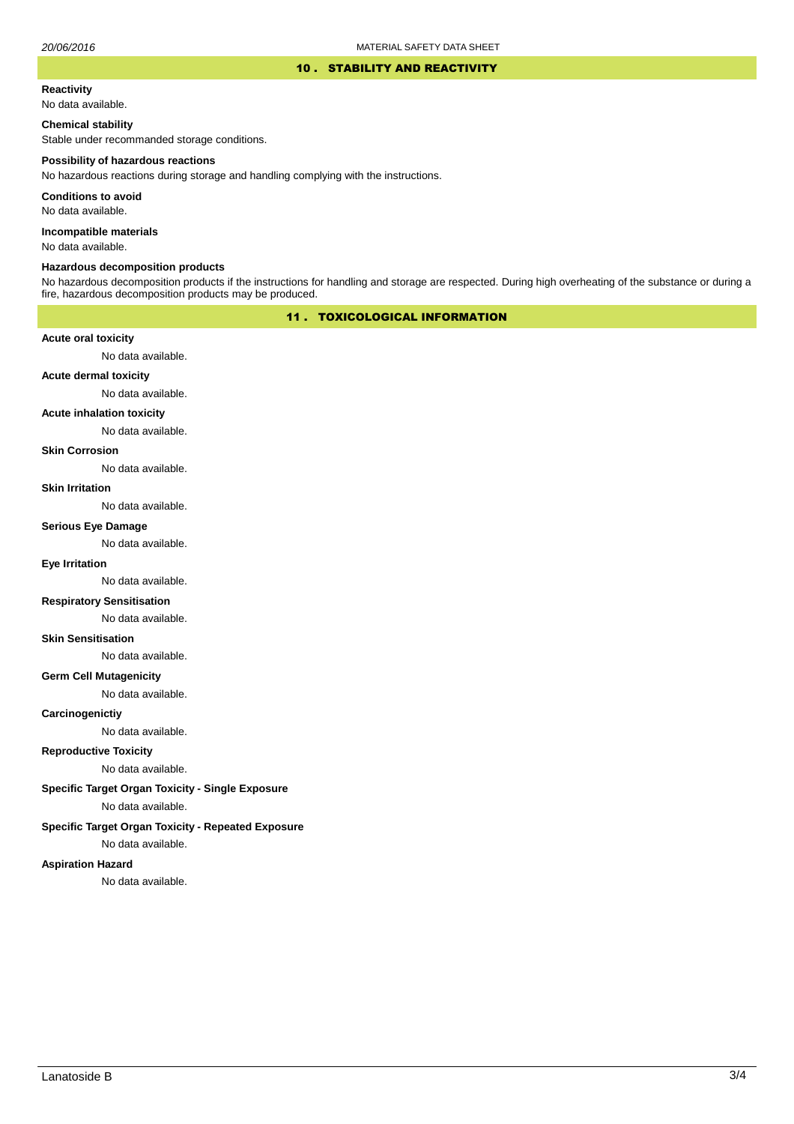#### 10 . STABILITY AND REACTIVITY

#### **Reactivity**

No data available.

# **Chemical stability**

Stable under recommanded storage conditions.

#### **Possibility of hazardous reactions**

No hazardous reactions during storage and handling complying with the instructions.

**Conditions to avoid**

No data available.

**Incompatible materials**

No data available.

## **Hazardous decomposition products**

No hazardous decomposition products if the instructions for handling and storage are respected. During high overheating of the substance or during a fire, hazardous decomposition products may be produced.

# 11 . TOXICOLOGICAL INFORMATION

### **Acute oral toxicity**

No data available.

# **Acute dermal toxicity**

No data available.

#### **Acute inhalation toxicity**

No data available.

## **Skin Corrosion**

No data available.

#### **Skin Irritation**

No data available.

# **Serious Eye Damage**

No data available.

# **Eye Irritation**

No data available.

### **Respiratory Sensitisation**

No data available.

#### **Skin Sensitisation**

No data available.

### **Germ Cell Mutagenicity**

No data available.

### **Carcinogenictiy**

No data available.

# **Reproductive Toxicity**

No data available.

### **Specific Target Organ Toxicity - Single Exposure**

No data available.

### **Specific Target Organ Toxicity - Repeated Exposure**

No data available.

#### **Aspiration Hazard**

No data available.